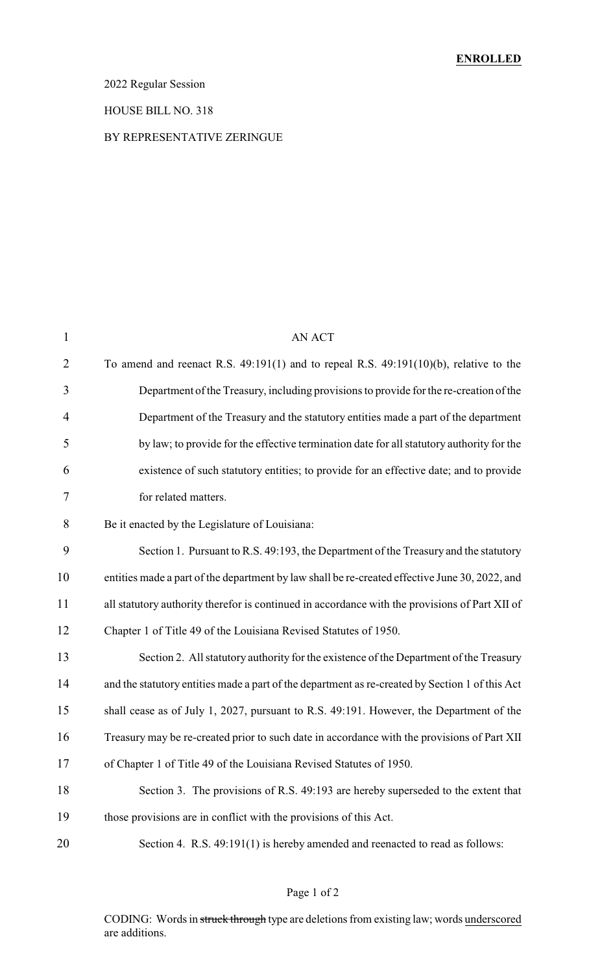### 2022 Regular Session

#### HOUSE BILL NO. 318

#### BY REPRESENTATIVE ZERINGUE

| $\mathbf{1}$   | <b>AN ACT</b>                                                                                   |
|----------------|-------------------------------------------------------------------------------------------------|
| $\overline{2}$ | To amend and reenact R.S. $49:191(1)$ and to repeal R.S. $49:191(10)(b)$ , relative to the      |
| 3              | Department of the Treasury, including provisions to provide for the re-creation of the          |
| 4              | Department of the Treasury and the statutory entities made a part of the department             |
| 5              | by law; to provide for the effective termination date for all statutory authority for the       |
| 6              | existence of such statutory entities; to provide for an effective date; and to provide          |
| 7              | for related matters.                                                                            |
| 8              | Be it enacted by the Legislature of Louisiana:                                                  |
| 9              | Section 1. Pursuant to R.S. 49:193, the Department of the Treasury and the statutory            |
| 10             | entities made a part of the department by law shall be re-created effective June 30, 2022, and  |
| 11             | all statutory authority therefor is continued in accordance with the provisions of Part XII of  |
| 12             | Chapter 1 of Title 49 of the Louisiana Revised Statutes of 1950.                                |
| 13             | Section 2. All statutory authority for the existence of the Department of the Treasury          |
| 14             | and the statutory entities made a part of the department as re-created by Section 1 of this Act |
| 15             | shall cease as of July 1, 2027, pursuant to R.S. 49:191. However, the Department of the         |
| 16             | Treasury may be re-created prior to such date in accordance with the provisions of Part XII     |
| 17             | of Chapter 1 of Title 49 of the Louisiana Revised Statutes of 1950.                             |
| 18             | Section 3. The provisions of R.S. 49:193 are hereby superseded to the extent that               |
| 19             | those provisions are in conflict with the provisions of this Act.                               |
| 20             | Section 4. R.S. 49:191(1) is hereby amended and reenacted to read as follows:                   |

### Page 1 of 2

CODING: Words in struck through type are deletions from existing law; words underscored are additions.